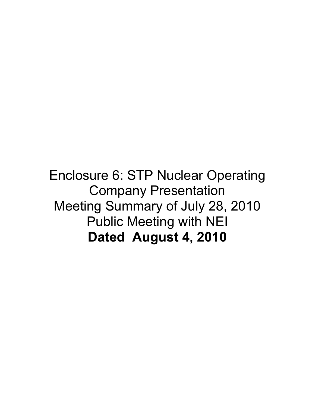Enclosure 6: STP Nuclear Operating Company Presentation Meeting Summary of July 28, 2010 Public Meeting with NEI **Dated August 4, 2010**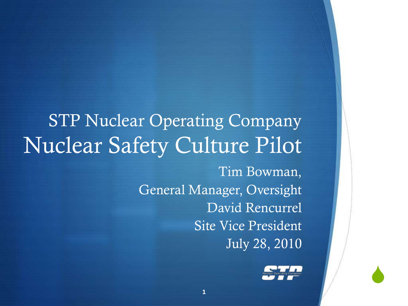### STP Nuclear Operating Company Nuclear Safety Culture Pilot

Tim Bowman, General Manager, Oversight David Rencurrel Site Vice President July 28, 2010



 $\blacklozenge$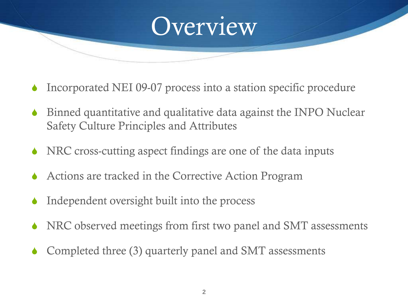

- Incorporated NEI 09-07 process into a station specific procedure
- Binned quantitative and qualitative data against the INPO Nuclear Safety Culture Principles and Attributes
- NRC cross-cutting aspect findings are one of the data inputs
- Actions are tracked in the Corrective Action Program
- Independent oversight built into the process
- NRC observed meetings from first two panel and SMT assessments
- Completed three (3) quarterly panel and SMT assessments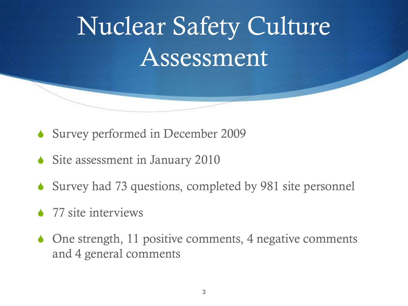## Nuclear Safety Culture Assessment

- $\bullet$  Survey performed in December 2009
- $\triangle$  Site assessment in January 2010
- $\bullet$  Survey had 73 questions, completed by 981 site personnel
- $\bullet$  77 site interviews
- $\bullet$  One strength, 11 positive comments, 4 negative comments and 4 general comments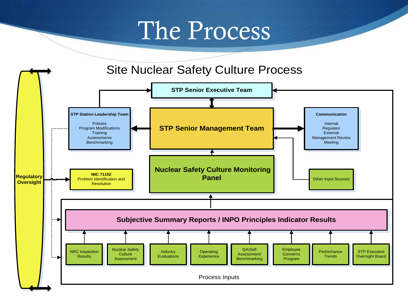## The Process

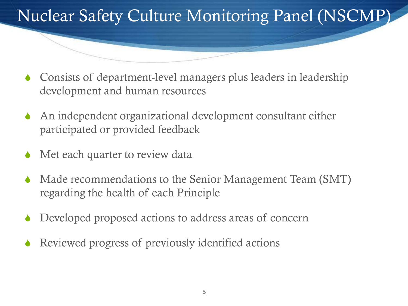#### Nuclear Safety Culture Monitoring Panel (NSCMP)

- $\bullet$  Consists of department-level managers plus leaders in leadership development and human resources
- $\triangle$  An independent organizational development consultant either participated or provided feedback
- Met each quarter to review data
- Made recommendations to the Senior Management Team (SMT) regarding the health of each Principle
- Developed proposed actions to address areas of concern
- Reviewed progress of previously identified actions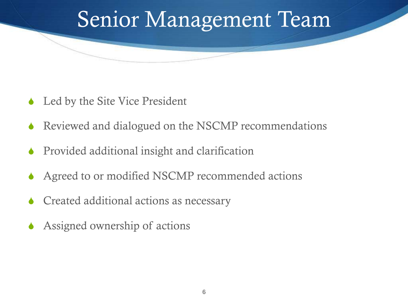## Senior Management Team

- $\triangle$  Led by the Site Vice President
- Reviewed and dialogued on the NSCMP recommendations
- Provided additional insight and clarification
- Agreed to or modified NSCMP recommended actions
- Created additional actions as necessary
- Assigned ownership of actions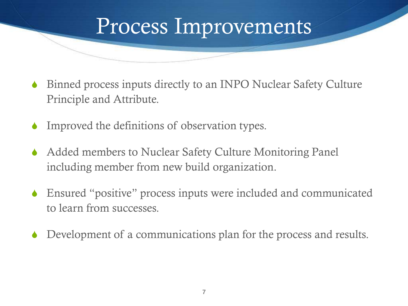# Process Improvements

- Binned process inputs directly to an INPO Nuclear Safety Culture Principle and Attribute.
- Improved the definitions of observation types.
- Added members to Nuclear Safety Culture Monitoring Panel including member from new build organization.
- Ensured "positive" process inputs were included and communicated to learn from successes.
- Development of a communications plan for the process and results.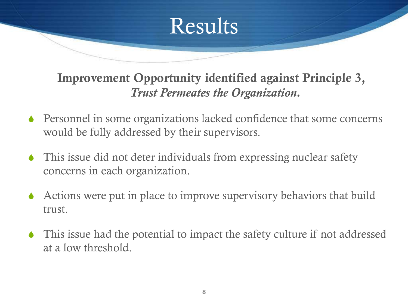#### **Improvement Opportunity identified against Principle 3,**  *Trust Permeates the Organization.*

Results

- $\bullet$  Personnel in some organizations lacked confidence that some concerns would be fully addressed by their supervisors.
- $\bullet$  This issue did not deter individuals from expressing nuclear safety concerns in each organization.
- $\triangle$  Actions were put in place to improve supervisory behaviors that build trust.
- $\blacklozenge$  This issue had the potential to impact the safety culture if not addressed at a low threshold.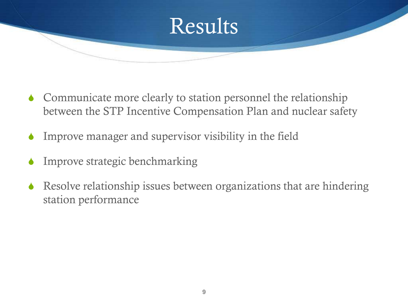

- $\triangle$  Communicate more clearly to station personnel the relationship between the STP Incentive Compensation Plan and nuclear safety
- $\bullet$  Improve manager and supervisor visibility in the field
- Improve strategic benchmarking
- $\triangle$  Resolve relationship issues between organizations that are hindering station performance